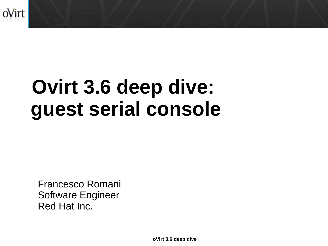

# **Ovirt 3.6 deep dive: guest serial console**

Francesco Romani Software Engineer Red Hat Inc.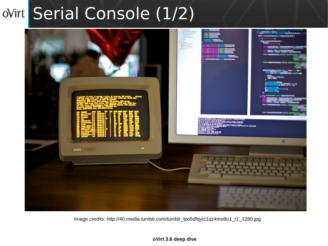### ovirt Serial Console (1/2)



Image credits: http://40.media.tumblr.com/tumblr\_lpo5dfqyIz1qz4mo8o1\_r1\_1280.jpg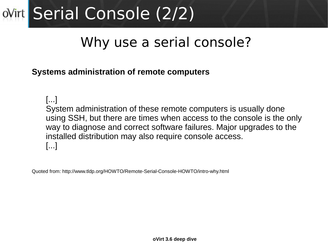# ovint Serial Console (2/2)

### Why use a serial console?

#### **Systems administration of remote computers**

[...] System administration of these remote computers is usually done using SSH, but there are times when access to the console is the only way to diagnose and correct software failures. Major upgrades to the installed distribution may also require console access. [...]

Quoted from: http://www.tldp.org/HOWTO/Remote-Serial-Console-HOWTO/intro-why.html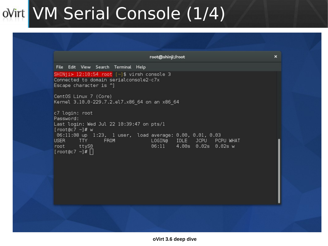### ovint VM Serial Console (1/4)

|                                                                                                                       | root@shinji:/root                                       |
|-----------------------------------------------------------------------------------------------------------------------|---------------------------------------------------------|
| File Edit View Search Terminal Help                                                                                   |                                                         |
| SHINji> 12:10:54 root $[\sim]$ \$ virsh console 3<br>Connected to domain serialconsole2-c7x<br>Escape character is ^] |                                                         |
| CentOS Linux 7 (Core)<br>Kernel 3.10.0-229.7.2.el7.x86 64 on an x86 64                                                |                                                         |
| c7 login: root<br>Password:<br>Last login: Wed Jul 22 10:39:47 on pts/1<br>[root@c7 $\sim$ ]# w                       |                                                         |
| 06:11:08 up 1:23, 1 user, load average: 0.00, 0.01, 0.03<br>USER TTY FROM<br>root ttyS0                               | LOGIN@ IDLE JCPU PCPU WHAT<br>06:11 4.00s 0.02s 0.02s w |
| $[root@c7 - ]$ #                                                                                                      |                                                         |
|                                                                                                                       |                                                         |
|                                                                                                                       |                                                         |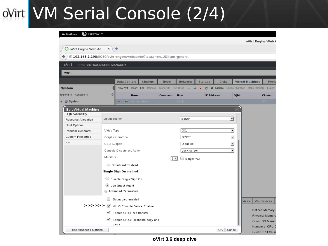### ovint VM Serial Console (2/4)

#### $\ddot{v}$  Firefox  $\ddot{v}$ **Activities**

|                                                                                      |                                        |                                 |                 |                               |                 |                   |                                               |             | oVirt Engine Web A      |                                    |
|--------------------------------------------------------------------------------------|----------------------------------------|---------------------------------|-----------------|-------------------------------|-----------------|-------------------|-----------------------------------------------|-------------|-------------------------|------------------------------------|
| O oVirt Engine Web Ad $\star$                                                        |                                        | ⊕                               |                 |                               |                 |                   |                                               |             |                         |                                    |
| <sup>3</sup> 192.168.1.198:8080/ovirt-engine/webadmin/?locale=en_US#vms-general<br>← |                                        |                                 |                 |                               |                 |                   |                                               |             |                         |                                    |
| oVirt<br>OPEN VIRTUALIZATION MANAGER                                                 |                                        |                                 |                 |                               |                 |                   |                                               |             |                         |                                    |
| Vms:                                                                                 |                                        |                                 |                 |                               |                 |                   |                                               |             |                         |                                    |
|                                                                                      |                                        |                                 |                 |                               |                 |                   |                                               |             |                         |                                    |
|                                                                                      |                                        | <b>Data Centers</b>             | <b>Clusters</b> | <b>Hosts</b>                  | <b>Networks</b> | <b>Storage</b>    | <b>Disks</b>                                  |             | <b>Virtual Machines</b> | Pools                              |
| System                                                                               | G                                      | New VM Import                   |                 | Edit Remove Clone VM Run Once |                 | Q                 | Migrate Cancel Migration Make Template Export |             |                         |                                    |
| Expand All Collapse All                                                              | e                                      | <b>Name</b>                     |                 | <b>Comment</b>                | Host            | <b>IP Address</b> |                                               | <b>FQDN</b> |                         | <b>Cluster</b>                     |
| System                                                                               |                                        | ▲<br>6                          | sercon test-1   |                               | kenji           |                   |                                               |             |                         | C.7                                |
| <b>Edit Virtual Machine</b><br><b>High Availability</b>                              |                                        |                                 |                 |                               |                 |                   |                                               | $\circledR$ |                         |                                    |
| Resource Allocation                                                                  | Optimized for                          |                                 |                 |                               | Server          |                   | ▾∥                                            |             |                         |                                    |
| Boot Options                                                                         |                                        |                                 |                 |                               |                 |                   |                                               |             |                         |                                    |
| Random Generator                                                                     | Video Type                             |                                 |                 |                               | QXL             |                   | $\blacktriangledown$                          |             |                         |                                    |
| Custom Properties                                                                    |                                        | Graphics protocol               |                 |                               | SPICE           |                   | $\vert$                                       |             |                         |                                    |
| Icon                                                                                 | USB Support                            |                                 |                 |                               | Disabled        |                   | $\mathbf{r}$                                  |             |                         |                                    |
|                                                                                      |                                        | Console Disconnect Action       |                 |                               | Lock screen     |                   | $\vert$                                       |             |                         |                                    |
|                                                                                      | Monitors                               |                                 |                 | $1 -$                         | Single PCI      |                   |                                               |             |                         |                                    |
|                                                                                      |                                        | Smartcard Enabled               |                 |                               |                 |                   |                                               |             |                         |                                    |
|                                                                                      |                                        | Single Sign On method           |                 |                               |                 |                   |                                               |             |                         |                                    |
|                                                                                      |                                        |                                 |                 |                               |                 |                   |                                               |             |                         |                                    |
|                                                                                      | Disable Single Sign On<br>$\cup$       |                                 |                 |                               |                 |                   |                                               |             |                         |                                    |
|                                                                                      | Use Guest Agent<br>Advanced Parameters |                                 |                 |                               |                 |                   |                                               |             |                         |                                    |
|                                                                                      |                                        |                                 |                 |                               |                 |                   |                                               |             |                         |                                    |
|                                                                                      |                                        | Soundcard enabled               |                 |                               |                 |                   |                                               |             | vices                   | <b>Vm Devices</b>                  |
| >>>>>> 2                                                                             |                                        | VirtIO Console Device Enabled   |                 |                               |                 |                   |                                               |             |                         |                                    |
|                                                                                      | $\checkmark$                           | Enable SPICE file transfer      |                 |                               |                 |                   |                                               |             |                         | Defined Memory:<br>Physical Memory |
|                                                                                      | $\checkmark$                           | Enable SPICE clipboard copy and |                 |                               |                 |                   |                                               |             |                         | Guest OS Memor                     |
|                                                                                      |                                        | paste                           |                 |                               |                 |                   |                                               |             |                         | Number of CPU C                    |
| Hide Advanced Options                                                                |                                        |                                 |                 |                               |                 |                   | ОK<br>Cancel                                  |             |                         | Guest CPU Count                    |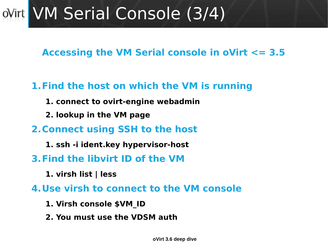### ovint VM Serial Console (3/4)

**Accessing the VM Serial console in oVirt <= 3.5**

### **1.Find the host on which the VM is running**

- **1. connect to ovirt-engine webadmin**
- **2. lookup in the VM page**
- **2.Connect using SSH to the host**
	- **1. ssh -i ident.key hypervisor-host**
- **3.Find the libvirt ID of the VM**
	- **1. virsh list | less**

**4.Use virsh to connect to the VM console**

- **1. Virsh console \$VM\_ID**
- **2. You must use the VDSM auth**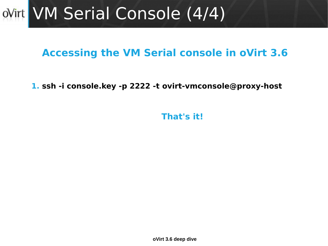### ovirt VM Serial Console (4/4)

### **Accessing the VM Serial console in oVirt 3.6**

**1. ssh -i console.key -p 2222 -t [ovirt-vmconsole@proxy-host](mailto:ovirt-vmconsole@proxy-host)**

**That's it!**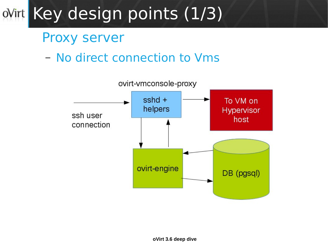### ovint Key design points (1/3)

### Proxy server

### – No direct connection to Vms

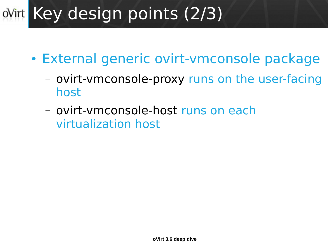#### Key design points (2/3)  $oV$ irt

- External generic ovirt-vmconsole package
	- ovirt-vmconsole-proxy runs on the user-facing host
	- ovirt-vmconsole-host runs on each virtualization host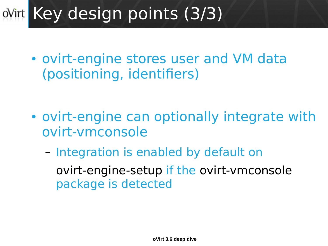#### Key design points (3/3)  $oV$ irt

• ovirt-engine stores user and VM data (positioning, identifiers)

- ovirt-engine can optionally integrate with ovirt-vmconsole
	- Integration is enabled by default on ovirt-engine-setup if the ovirt-vmconsole package is detected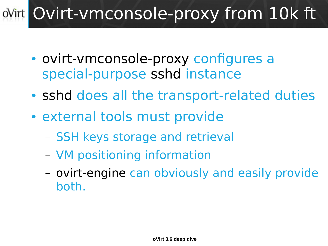#### Ovirt-vmconsole-proxy from 10k ft  $oV$ irt

- ovirt-vmconsole-proxy configures a special-purpose sshd instance
- sshd does all the transport-related duties
- external tools must provide
	- SSH keys storage and retrieval
	- VM positioning information
	- ovirt-engine can obviously and easily provide both.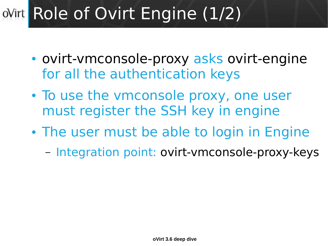#### Role of Ovirt Engine (1/2)  $oV$ irt

- ovirt-vmconsole-proxy asks ovirt-engine for all the authentication keys
- To use the vmconsole proxy, one user must register the SSH key in engine
- The user must be able to login in Engine
	- Integration point: ovirt-vmconsole-proxy-keys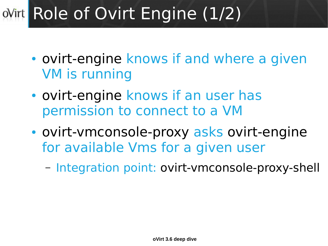#### Role of Ovirt Engine (1/2)  $oV$ irt

- ovirt-engine knows if and where a given VM is running
- ovirt-engine knows if an user has permission to connect to a VM
- ovirt-vmconsole-proxy asks ovirt-engine for available Vms for a given user
	- Integration point: ovirt-vmconsole-proxy-shell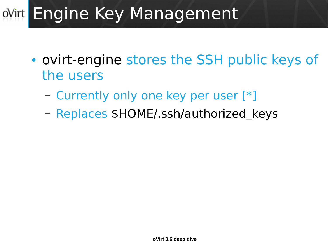### ovint Engine Key Management

- ovirt-engine stores the SSH public keys of the users
	- Currently only one key per user [\*]
	- Replaces \$HOME/.ssh/authorized keys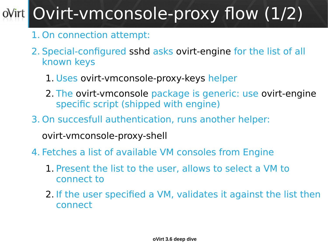#### Ovirt-vmconsole-proxy flow (1/2)  $oV$ irt

- 1. On connection attempt:
- 2. Special-configured sshd asks ovirt-engine for the list of all known keys
	- 1. Uses ovirt-vmconsole-proxy-keys helper
	- 2. The ovirt-vmconsole package is generic: use ovirt-engine specific script (shipped with engine)
- 3. On succesfull authentication, runs another helper:

ovirt-vmconsole-proxy-shell

- 4. Fetches a list of available VM consoles from Engine
	- 1. Present the list to the user, allows to select a VM to connect to
	- 2. If the user specified a VM, validates it against the list then connect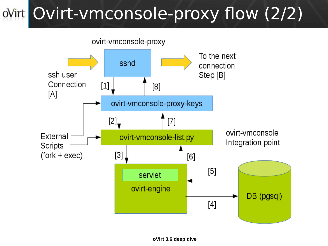# ovint Ovirt-vmconsole-proxy flow (2/2)

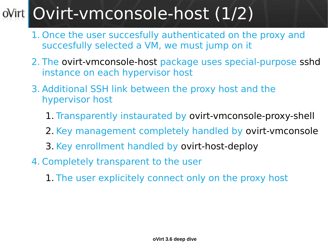#### Ovirt-vmconsole-host (1/2)  $oV$ irt

- 1. Once the user succesfully authenticated on the proxy and succesfully selected a VM, we must jump on it
- 2. The ovirt-vmconsole-host package uses special-purpose sshd instance on each hypervisor host
- 3. Additional SSH link between the proxy host and the hypervisor host
	- 1. Transparently instaurated by ovirt-vmconsole-proxy-shell
	- 2. Key management completely handled by ovirt-vmconsole
	- 3. Key enrollment handled by ovirt-host-deploy
- 4. Completely transparent to the user
	- 1. The user explicitely connect only on the proxy host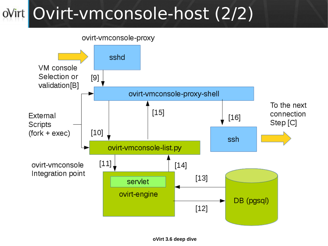### ovint Ovirt-vmconsole-host (2/2)

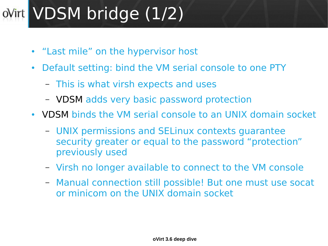#### VDSM bridge (1/2)  $oV$ irt

- "Last mile" on the hypervisor host
- Default setting: bind the VM serial console to one PTY
	- This is what virsh expects and uses
	- VDSM adds very basic password protection
- VDSM binds the VM serial console to an UNIX domain socket
	- UNIX permissions and SELinux contexts guarantee security greater or equal to the password "protection" previously used
	- Virsh no longer available to connect to the VM console
	- Manual connection still possible! But one must use socat or minicom on the UNIX domain socket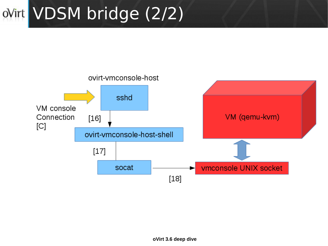# ovirt VDSM bridge (2/2)

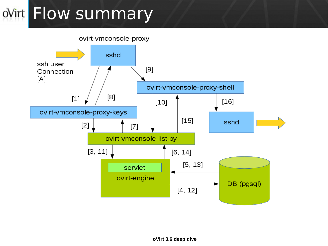### oVirt Flow summary

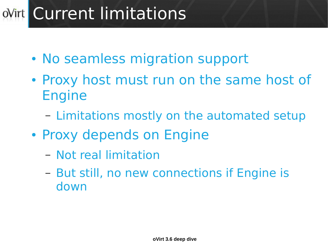### **Wirt Current limitations**

- No seamless migration support
- Proxy host must run on the same host of Engine
	- Limitations mostly on the automated setup
- Proxy depends on Engine
	- Not real limitation
	- But still, no new connections if Engine is down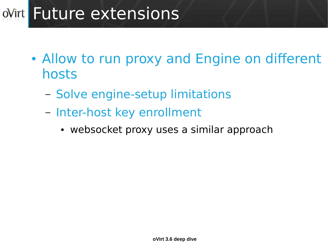### oVirt Future extensions

- Allow to run proxy and Engine on different hosts
	- Solve engine-setup limitations
	- Inter-host key enrollment
		- websocket proxy uses a similar approach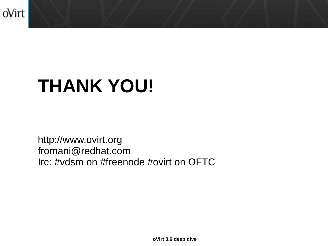

# **THANK YOU!**

http://www.ovirt.org fromani@redhat.com Irc: #vdsm on #freenode #ovirt on OFTC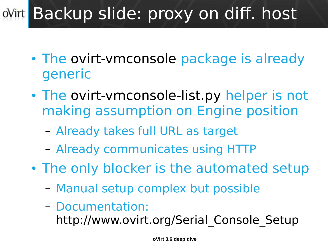#### Backup slide: proxy on diff. host  $oV$ irt

- The ovirt-vmconsole package is already generic
- The ovirt-vmconsole-list.py helper is not making assumption on Engine position
	- Already takes full URL as target
	- Already communicates using HTTP
- The only blocker is the automated setup
	- Manual setup complex but possible
	- Documentation:
		- http://www.ovirt.org/Serial Console Setup